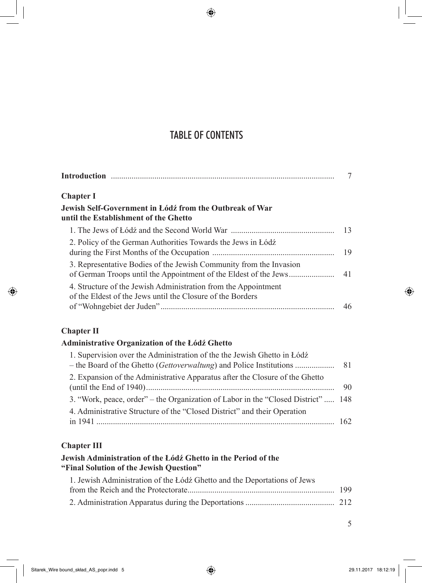# TABLE OF CONTENTS

| Chapter I                                                                                                                    |    |
|------------------------------------------------------------------------------------------------------------------------------|----|
| Jewish Self-Government in Łódź from the Outbreak of War<br>until the Establishment of the Ghetto                             |    |
|                                                                                                                              | 13 |
| 2. Policy of the German Authorities Towards the Jews in Łódź                                                                 | 19 |
| 3. Representative Bodies of the Jewish Community from the Invasion                                                           | 41 |
| 4. Structure of the Jewish Administration from the Appointment<br>of the Eldest of the Jews until the Closure of the Borders | 46 |
|                                                                                                                              |    |

## **Chapter II**

### **Administrative Organization of the Łódź Ghetto**

| 1. Supervision over the Administration of the the Jewish Ghetto in Łódź           |     |
|-----------------------------------------------------------------------------------|-----|
|                                                                                   |     |
| 2. Expansion of the Administrative Apparatus after the Closure of the Ghetto      |     |
|                                                                                   | -90 |
| 3. "Work, peace, order" – the Organization of Labor in the "Closed District"  148 |     |
| 4. Administrative Structure of the "Closed District" and their Operation          |     |
|                                                                                   |     |

### **Chapter III**

#### **Jewish Administration of the Łódź Ghetto in the Period of the "Final Solution of the Jewish Question"**

| 1. Jewish Administration of the Łódź Ghetto and the Deportations of Jews |  |
|--------------------------------------------------------------------------|--|
|                                                                          |  |
|                                                                          |  |